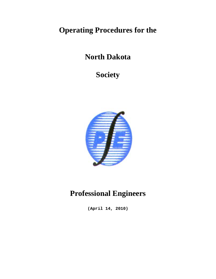# **Operating Procedures for the**

## **North Dakota**

## **Society**



# **Professional Engineers**

**(April 14, 2010)**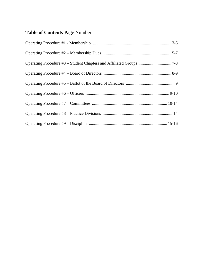### **Table of Contents P**age Number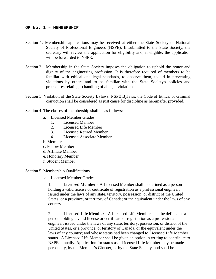#### **OP No. 1 – MEMBERSHIP**

- Section 1. Membership applications may be received at either the State Society or National Society of Professional Engineers (NSPE). If submitted to the State Society, the secretary will review the application for eligibility and, if eligible, the application will be forwarded to NSPE.
- Section 2. Membership in the State Society imposes the obligation to uphold the honor and dignity of the engineering profession. It is therefore required of members to be familiar with ethical and legal standards, to observe them, to aid in preventing violations by others and to be familiar with the State Society's policies and procedures relating to handling of alleged violations.
- Section 3. Violation of the State Society Bylaws, NSPE Bylaws, the Code of Ethics, or criminal conviction shall be considered as just cause for discipline as hereinafter provided.
- Section 4. The classes of membership shall be as follows:
	- a. Licensed Member Grades
		- 1. Licensed Member
		- 2. Licensed Life Member
		- 3. Licensed Retired Member
		- 4. Licensed Associate Member
	- b. Member
	- c. Fellow Member
	- d. Affiliate Member
	- e. Honorary Member
	- f. Student Member

Section 5. Membership Qualifications

a. Licensed Member Grades

1. **Licensed Member** - A Licensed Member shall be defined as a person holding a valid license or certificate of registration as a professional engineer, issued under the laws of any state, territory, possession, or district of the United States, or a province, or territory of Canada; or the equivalent under the laws of any country.

2. **Licensed Life Member** - A Licensed Life Member shall be defined as a person holding a valid license or certificate of registration as a professional engineer, issued under the laws of any state, territory, possession, or district of the United States, or a province, or territory of Canada, or the equivalent under the laws of any country; and whose status had been changed to Licensed Life Member status. A Licensed Life Member shall be given an option in writing to contribute to NSPE annually. Application for status as a Licensed Life Member may be made personally, by the Member's Chapter, or by the State Society, and shall be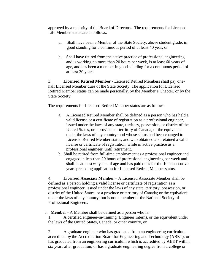approved by a majority of the Board of Directors. The requirements for Licensed Life Member status are as follows:

- a. Shall have been a Member of the State Society, above student grade, in good standing for a continuous period of at least 40 year, or
- b. Shall have retired from the active practice of professional engineering and is working no more than 20 hours per week, is at least 60 years of age, and has been a member in good standing for a continuous period of at least 30 years

3. **Licensed Retired Member** - Licensed Retired Members shall pay onehalf Licensed Member dues of the State Society. The application for Licensed Retired Member status can be made personally, by the Member's Chapter, or by the State Society.

The requirements for Licensed Retired Member status are as follows:

- a. A Licensed Retired Member shall be defined as a person who has held a valid license or a certificate of registration as a professional engineer, issued under the laws of any state, territory, possession, or district of the United States, or a province or territory of Canada, or the equivalent under the laws of any country; and whose status had been changed to Licensed Retired Member status, and who obtained and retained a valid license or certificate of registration, while in active practice as a professional engineer, until retirement.
- b. Shall be retired from full-time employment as a professional engineer and engaged in less than 20 hours of professional engineering per week and shall be at least 60 years of age and has paid dues for the 10 consecutive years preceding application for Licensed Retired Member status.

4. **Licensed Associate Member** – A Licensed Associate Member shall be defined as a person holding a valid license or certificate of registration as a professional engineer, issued under the laws of any state, territory, possession, or district of the United States, or a province or territory of Canada; or the equivalent under the laws of any country, but is not a member of the National Society of Professional Engineers.

b. **Member** - A Member shall be defined as a person who is:

1. A certified engineer-in-training (Engineer Intern), or the equivalent under the laws of the United States, Canada, or other country, or

2. A graduate engineer who has graduated from an engineering curriculum accredited by the Accreditation Board for Engineering and Technology (ABET); or has graduated from an engineering curriculum which is accredited by ABET within six years after graduation; or has a graduate engineering degree from a college or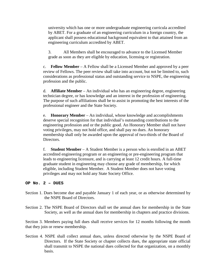university which has one or more undergraduate engineering curricula accredited by ABET. For a graduate of an engineering curriculum in a foreign country, the applicant shall possess educational background equivalent to that attained from an engineering curriculum accredited by ABET.

3. All Members shall be encouraged to advance to the Licensed Member grade as soon as they are eligible by education, licensing or registration.

c. **Fellow Member** – A Fellow shall be a Licensed Member and approved by a peer review of Fellows. The peer review shall take into account, but not be limited to, such considerations as professional status and outstanding service to NSPE, the engineering profession and the public.

d. **Affiliate Member** – An individual who has an engineering degree, engineering technician degree, or has knowledge and an interest in the profession of engineering. The purpose of such affiliations shall be to assist in promoting the best interests of the professional engineer and the State Society.

e. **Honorary Member** – An individual, whose knowledge and accomplishments deserve special recognition for that individual's outstanding contributions to the engineering profession and or the public good. An Honorary Member shall not have voting privileges, may not hold office, and shall pay no dues. An honorary membership shall only be awarded upon the approval of two-thirds of the Board of Directors.

f. **Student Member** – A Student Member is a person who is enrolled in an ABET accredited engineering program or an engineering or pre-engineering program that leads to engineering licensure, and is carrying at least 12 credit hours. A full-time graduate student in engineering may choose any grade of membership, for which eligible, including Student Member. A Student Member does not have voting privileges and may not hold any State Society Office.

#### **OP No. 2 – DUES**

- Section 1. Dues become due and payable January 1 of each year, or as otherwise determined by the NSPE Board of Directors.
- Section 2. The NSPE Board of Directors shall set the annual dues for membership in the State Society, as well as the annual dues for membership in chapters and practice divisions.

Section 3. Members paying full dues shall receive services for 12 months following the month that they join or renew membership.

Section 4. NSPE shall collect annual dues, unless directed otherwise by the NSPE Board of Directors. If the State Society or chapter collects dues, the appropriate state official shall transmit to NSPE the national dues collected for that organization, on a monthly basis.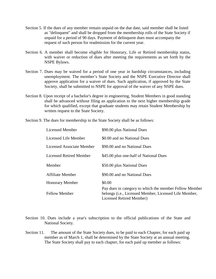- Section 5. If the dues of any member remain unpaid on the due date, said member shall be listed as "delinquent" and shall be dropped from the membership rolls of the State Society if unpaid for a period of 90 days. Payment of delinquent dues must accompany the request of such person for readmission for the current year.
- Section 6. A member shall become eligible for Honorary, Life or Retired membership status, with waiver or reduction of dues after meeting the requirements as set forth by the NSPE Bylaws.
- Section 7. Dues may be waived for a period of one year in hardship circumstances, including unemployment. The member's State Society and the NSPE Executive Director shall approve application for a waiver of dues. Such application, if approved by the State Society, shall be submitted to NSPE for approval of the waiver of any NSPE dues.
- Section 8. Upon receipt of a bachelor's degree in engineering, Student Members in good standing shall be advanced without filing an application to the next higher membership grade for which qualified, except that graduate students may retain Student Membership by written request to the State Society.
- Section 9. The dues for membership in the State Society shall be as follows:

| <b>Licensed Member</b>         | \$90.00 plus National Dues                                                                                                                           |
|--------------------------------|------------------------------------------------------------------------------------------------------------------------------------------------------|
| Licensed Life Member           | \$0.00 and no National Dues                                                                                                                          |
| Licensed Associate Member      | \$90.00 and no National Dues                                                                                                                         |
| <b>Licensed Retired Member</b> | \$45.00 plus one-half of National Dues                                                                                                               |
| Member                         | \$50.00 plus National Dues                                                                                                                           |
| <b>Affiliate Member</b>        | \$90.00 and no National Dues                                                                                                                         |
| <b>Honorary Member</b>         | \$0.00                                                                                                                                               |
| <b>Fellow Member</b>           | Pay dues in category to which the member Fellow Member<br>belongs ( <i>i.e.</i> , Licensed Member, Licensed Life Member,<br>Licensed Retired Member) |

Section 10. Dues include a year's subscription to the official publications of the State and National Society.

Section 11. The amount of the State Society dues, to be paid to each Chapter, for each paid up member as of March 1, shall be determined by the State Society at an annual meeting. The State Society shall pay to each chapter, for each paid up member as follows: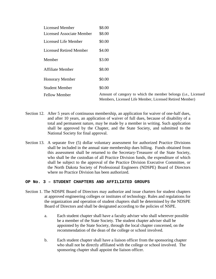| Licensed Member                | \$8.00                                                                                                                    |
|--------------------------------|---------------------------------------------------------------------------------------------------------------------------|
| Licensed Associate Member      | \$8.00                                                                                                                    |
| Licensed Life Member           | \$0.00                                                                                                                    |
| <b>Licensed Retired Member</b> | \$4.00                                                                                                                    |
| Member                         | \$3.00                                                                                                                    |
| <b>Affiliate Member</b>        | \$8.00                                                                                                                    |
| <b>Honorary Member</b>         | \$0.00                                                                                                                    |
| <b>Student Member</b>          | \$0.00                                                                                                                    |
| <b>Fellow Member</b>           | Amount of category to which the member belongs (i.e., Licensed<br>Members, Licensed Life Member, Licensed Retired Member) |

- Section 12. After 5 years of continuous membership, an application for waiver of one-half dues, and after 10 years, an application of waiver of full dues, because of disability of a total and permanent nature, may be made by a member in writing. Such application shall be approved by the Chapter, and the State Society, and submitted to the National Society for final approval.
- Section 13. A separate five (5) dollar voluntary assessment for authorized Practice Divisions shall be included in the annual state membership dues billing. Funds obtained from this assessment shall be returned to the Secretary-Treasurer of the State Society, who shall be the custodian of all Practice Division funds, the expenditure of which shall be subject to the approval of the Practice Division Executive Committee, or the North Dakota Society of Professional Engineers (NDSPE) Board of Directors where no Practice Division has been authorized.

#### **OP No. 3 – STUDENT CHAPTERS AND AFFILIATED GROUPS**

- Section 1. The NDSPE Board of Directors may authorize and issue charters for student chapters at approved engineering colleges or institutes of technology. Rules and regulations for the organization and operation of student chapters shall be determined by the NDSPE Board of Directors and shall be designated according to the policies of NSPE.
	- a. Each student chapter shall have a faculty adviser who shall wherever possible be a member of the State Society. The student chapter adviser shall be appointed by the State Society, through the local chapter concerned, on the recommendation of the dean of the college or school involved.
	- b. Each student chapter shall have a liaison officer from the sponsoring chapter who shall not be directly affiliated with the college or school involved. The sponsoring chapter shall appoint the liaison officer.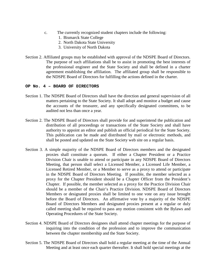- c. The currently recognized student chapters include the following:
	- 1. Bismarck State College
	- 2. North Dakota State University
	- 3. University of North Dakota
- Section 2. Affiliated groups may be established with approval of the NDSPE Board of Directors. The purpose of such affiliations shall be to assist in promoting the best interests of the professional engineer and the State Society and shall be defined in a charter agreement establishing the affiliation. The affiliated group shall be responsible to the NDSPE Board of Directors for fulfilling the actions defined in the charter.

#### **OP No. 4 – BOARD OF DIRECTORS**

- Section 1. The NDSPE Board of Directors shall have the direction and general supervision of all matters pertaining to the State Society. It shall adopt and monitor a budget and cause the accounts of the treasurer, and any specifically designated committees, to be audited not less than once a year.
- Section 2. The NDSPE Board of Directors shall provide for and superintend the publication and distribution of all proceedings or transactions of the State Society and shall have authority to appoint an editor and publish an official periodical for the State Society. This publication can be made and distributed by mail or electronic methods, and shall be posted and updated on the State Society web site on a regular basis.
- Section 3. A simple majority of the NDSPE Board of Directors members and the designated proxies shall constitute a quorum. If either a Chapter President or a Practice Division Chair is unable to attend or participate in any NDSPE Board of Directors Meeting, that person shall select a Licensed Member, a Licensed Life Member, a Licensed Retired Member, or a Member to serve as a proxy to attend or participate in the NDSPE Board of Directors Meeting. If possible, the member selected as a proxy for the Chapter President should be a Chapter Officer from the President's Chapter. If possible, the member selected as a proxy for the Practice Division Chair should be a member of the Chair's Practice Division. NDSPE Board of Directors Members or designated proxies shall be limited to one vote on any issue brought before the Board of Directors. An affirmative vote by a majority of the NDSPE Board of Directors Members and designated proxies present at a regular or duly called meeting shall be required to pass any motion consistent with the Bylaws and Operating Procedures of the State Society.
- Section 4. NDSPE Board of Directors designees shall attend chapter meetings for the purpose of inquiring into the condition of the profession and to improve the communication between the chapter membership and the State Society.
- Section 5. The NDSPE Board of Directors shall hold a regular meeting at the time of the Annual Meeting and at least once each quarter thereafter. It shall hold special meetings at the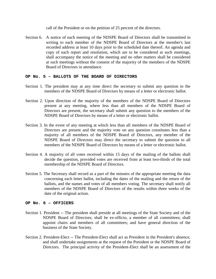call of the President or on the petition of 25 percent of the directors.

Section 6. A notice of each meeting of the NDSPE Board of Directors shall be transmitted in writing to each member of the NDSPE Board of Directors at the member's last recorded address at least 10 days prior to the scheduled date thereof. An agenda and copy of each report and resolution, which are to be considered at such meetings, shall accompany the notice of the meeting and no other matters shall be considered at such meetings without the consent of the majority of the members of the NDSPE Board of Directors in attendance.

#### **OP No. 5 – BALLOTS OF THE BOARD OF DIRECTORS**

- Section 1. The president may at any time direct the secretary to submit any question to the members of the NDSPE Board of Directors by means of a letter or electronic ballot.
- Section 2. Upon direction of the majority of the members of the NDSPE Board of Directors present at any meeting, where less than all members of the NDSPE Board of Directors are present, the secretary shall submit any question to the members of the NDSPE Board of Directors by means of a letter or electronic ballot.
- Section 3. In the event of any meeting at which less than all members of the NDSPE Board of Directors are present and the majority vote on any question constitutes less than a majority of all members of the NDSPE Board of Directors, any member of the NDSPE Board of Directors may direct the secretary to submit the question to all members of the NDSPE Board of Directors by means of a letter or electronic ballot.
- Section 4. A majority of all votes received within 15 days of the mailing of the ballots shall decide the question, provided votes are received from at least two-thirds of the total membership of the NDSPE Board of Directors.
- Section 5. The Secretary shall record as a part of the minutes of the appropriate meeting the data concerning each letter ballot, including the dates of the mailing and the return of the ballots, and the names and votes of all members voting. The secretary shall notify all members of the NDSPE Board of Directors of the results within three weeks of the date of the original action.

#### **OP No. 6 – OFFICERS**

- Section 1. President -- The president shall preside at all meetings of the State Society and of the NDSPE Board of Directors; shall be ex-officio, a member of all committees; shall appoint chairs and members of all committees; and have general direction of the business of the State Society.
- Section 2. President-Elect -- The President-Elect shall act as President in the President's absence, and shall undertake assignments at the request of the President or the NDSPE Board of Directors. The principal activity of the President-Elect shall be an assessment of the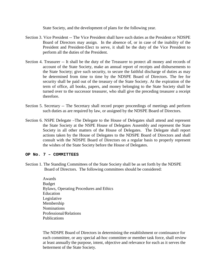State Society, and the development of plans for the following year.

- Section 3. Vice President -- The Vice President shall have such duties as the President or NDSPE Board of Directors may assign. In the absence of, or in case of the inability of the President and President-Elect to serve, it shall be the duty of the Vice President to perform all the duties of the President.
- Section 4. Treasurer -- It shall be the duty of the Treasurer to protect all money and records of account of the State Society, make an annual report of receipts and disbursements to the State Society; give such security, to secure the faithful discharge of duties as may be determined from time to time by the NDSPE Board of Directors. The fee for security shall be paid out of the treasury of the State Society. At the expiration of the term of office, all books, papers, and money belonging to the State Society shall be turned over to the successor treasurer, who shall give the preceding treasurer a receipt therefore.
- Section 5. Secretary -- The Secretary shall record proper proceedings of meetings and perform such duties as are required by law, or assigned by the NDSPE Board of Directors.
- Section 6. NSPE Delegate –The Delegate to the House of Delegates shall attend and represent the State Society at the NSPE House of Delegates Assembly and represent the State Society in all other matters of the House of Delegates. The Delegate shall report actions taken by the House of Delegates to the NDSPE Board of Directors and shall consult with the NDSPE Board of Directors on a regular basis to properly represent the wishes of the State Society before the House of Delegates.

#### **OP No. 7 – COMMITTEES**

- Section 1. The Standing Committees of the State Society shall be as set forth by the NDSPE Board of Directors. The following committees should be considered:
	- Awards Budget Bylaws, Operating Procedures and Ethics Education Legislative Membership Nominations Professional/Relations Publications

The NDSPE Board of Directors in determining the establishment or continuance for each committee, or any special ad-hoc committee or member task force, shall review at least annually the purpose, intent, objective and relevance for each as it serves the betterment of the State Society.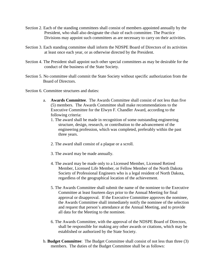- Section 2. Each of the standing committees shall consist of members appointed annually by the President, who shall also designate the chair of each committee. The Practice Divisions may appoint such committees as are necessary to carry on their activities.
- Section 3. Each standing committee shall inform the NDSPE Board of Directors of its activities at least once each year, or as otherwise directed by the President.
- Section 4. The President shall appoint such other special committees as may be desirable for the conduct of the business of the State Society.
- Section 5. No committee shall commit the State Society without specific authorization from the Board of Directors.
- Section 6. Committee structures and duties:
	- a. **Awards Committee**. The Awards Committee shall consist of not less than five (5) members. The Awards Committee shall make recommendations to the Executive Committee for the Elwyn F. Chandler Award, according to the following criteria:
		- 1. The award shall be made in recognition of some outstanding engineering structure, design, research, or contribution to the advancement of the engineering profession, which was completed, preferably within the past three years.
		- 2. The award shall consist of a plaque or a scroll.
		- 3. The award may be made annually.
		- 4. The award may be made only to a Licensed Member, Licensed Retired Member, Licensed Life Member, or Fellow Member of the North Dakota Society of Professional Engineers who is a legal resident of North Dakota, regardless of the geographical location of the achievement.
		- 5. The Awards Committee shall submit the name of the nominee to the Executive Committee at least fourteen days prior to the Annual Meeting for final approval or disapproval. If the Executive Committee approves the nominee, the Awards Committee shall immediately notify the nominee of the selection and request that person's attendance at the Annual Meeting, and to provide all data for the Meeting to the nominee.
		- 6. The Awards Committee, with the approval of the NDSPE Board of Directors, shall be responsible for making any other awards or citations, which may be established or authorized by the State Society.
	- b. **Budget Committee**: The Budget Committee shall consist of not less than three (3) members. The duties of the Budget Committee shall be as follows: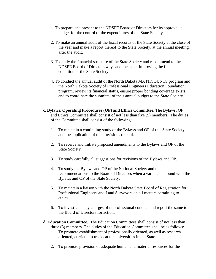- 1 .To prepare and present to the NDSPE Board of Directors for its approval, a budget for the control of the expenditures of the State Society.
- 2. To make an annual audit of the fiscal records of the State Society at the close of the year and make a report thereof to the State Society, at the annual meeting, after the audit.
- 3. To study the financial structure of the State Society and recommend to the NDSPE Board of Directors ways and means of improving the financial condition of the State Society.
- 4. To conduct the annual audit of the North Dakota MATHCOUNTS program and the North Dakota Society of Professional Engineers Education Foundation program, review its financial status, ensure proper bonding coverage exists, and to coordinate the submittal of their annual budget to the State Society.
- c. **Bylaws, Operating Procedures (OP) and Ethics Committee**. The Bylaws, OP and Ethics Committee shall consist of not less than five (5) members. The duties of the Committee shall consist of the following:
	- 1. To maintain a continuing study of the Bylaws and OP of this State Society and the application of the provisions thereof.
	- 2. To receive and initiate proposed amendments to the Bylaws and OP of the State Society.
	- 3. To study carefully all suggestions for revisions of the Bylaws and OP.
	- 4. To study the Bylaws and OP of the National Society and make recommendations to the Board of Directors when a variance is found with the Bylaws and OP of the State Society.
	- 5. To maintain a liaison with the North Dakota State Board of Registration for Professional Engineers and Land Surveyors on all matters pertaining to ethics.
	- 6. To investigate any charges of unprofessional conduct and report the same to the Board of Directors for action.
- d. **Education Committee**. The Education Committees shall consist of not less than three (3) members. The duties of the Education Committee shall be as follows:
	- 1. To promote establishment of professionally oriented, as well as research oriented, curriculum tracks at the universities in the State.
	- 2. To promote provision of adequate human and material resources for the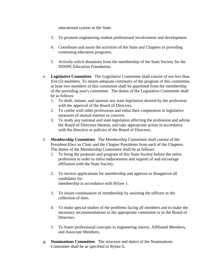educational system in the State.

- 3. To promote engineering student professional involvement and development.
- 4. Coordinate and assist the activities of the State and Chapters in providing continuing education programs.
- 5. Actively solicit donations from the membership of the State Society for the NDSPE Education Foundation.
- e. **Legislative Committee**. The Legislative Committee shall consist of not less than five (5) members. To insure adequate continuity of the program of this committee, at least two members of this committee shall be appointed from the membership of the preceding year's committee. The duties of the Legislative Committee shall be as follows:
	- 1. To draft, initiate, and sponsor any state legislation desired by the profession with the approval of the Board of Directors.
	- 2. To confer with other professions and enlist their cooperation in legislative measures of mutual interest or concern.
	- 3. To study any national and state legislation affecting the profession and advise the Board of Directors thereon, and take appropriate action in accordance with the directive or policies of the Board of Directors.
- f. **Membership Committee**. The Membership Committee shall consist of the President-Elect as Chair and the Chapter Presidents from each of the Chapters. The duties of the Membership Committee shall be as follows:
	- 1. To bring the purposes and program of this State Society before the entire profession in order to enlist endorsement and support of and encourage affiliation with the State Society.
	- 2. To receive applications for membership and approve or disapprove all candidates for membership in accordance with Bylaw 1.
	- 3. To insure continuation of membership by assisting the officers in the collection of dues.
	- 4. To make special studies of the problems facing all members and to make the necessary recommendations to the appropriate committee or to the Board of Directors.
	- 5. To foster professional concepts in engineering interns, Affiliated Members, and Associate Members.
- g. **Nominations Committee**. The structure and duties of the Nominations Committee shall be as specified in Bylaw 6.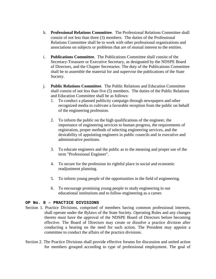- h. **Professional Relations Committee**. The Professional Relations Committee shall consist of not less than three (3) members. The duties of the Professional Relations Committee shall be to work with other professional organizations and associations on subjects or problems that are of mutual interest to the entities.
- i. **Publications Committee**. The Publications Committee shall consist of the Secretary-Treasurer or Executive Secretary, as designated by the NDSPE Board of Directors, and the Chapter Secretaries. The duty of the Publications Committee shall be to assemble the material for and supervise the publications of the State Society.
- j. **Public Relations Committee**. The Public Relations and Education Committee shall consist of not less than five (5) members. The duties of the Public Relations and Education Committee shall be as follows:
	- 1. To conduct a planned publicity campaign through newspapers and other recognized media to cultivate a favorable reception from the public on behalf of the engineering profession.
	- 2. To inform the public on the high qualifications of the engineer, the importance of engineering services to human progress, the requirements of registration, proper methods of selecting engineering services, and the desirability of appointing engineers in public councils and in executive and administrative positions.
	- 3. To educate engineers and the public as to the meaning and proper use of the term "Professional Engineer".
	- 4. To secure for the profession its rightful place in social and economic readjustment planning.
	- 5. To inform young people of the opportunities in the field of engineering.
	- 6. To encourage promising young people to study engineering in our educational institutions and to follow engineering as a career.

#### **OP No. 8 – PRACTICE DIVISIONS**

- Section 1. Practice Divisions, comprised of members having common professional interests, shall operate under the Bylaws of the State Society. Operating Rules and any changes thereto must have the approval of the NDSPE Board of Directors before becoming effective. The Board of Directors may create or dissolve a practice division after conducting a hearing on the need for such action. The President may appoint a committee to conduct the affairs of the practice divisions.
- Section 2. The Practice Divisions shall provide effective forums for discussion and united action for members grouped according to type of professional employment. The goal of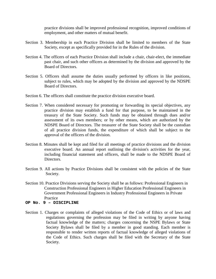practice divisions shall be improved professional recognition, improved conditions of employment, and other matters of mutual benefit.

- Section 3. Membership in each Practice Division shall be limited to members of the State Society, except as specifically provided for in the Rules of the division.
- Section 4. The officers of each Practice Division shall include a chair, chair-elect, the immediate past chair, and such other officers as determined by the division and approved by the Board of Directors.
- Section 5. Officers shall assume the duties usually performed by officers in like positions, subject to rules, which may be adopted by the division and approved by the NDSPE Board of Directors.
- Section 6. The officers shall constitute the practice division executive board.
- Section 7. When considered necessary for promoting or forwarding its special objectives, any practice division may establish a fund for that purpose, to be maintained in the treasury of the State Society. Such funds may be obtained through dues and/or assessment of its own members; or by other means, which are authorized by the NDSPE Board of Directors. The treasurer of the State Society shall be the custodian of all practice division funds, the expenditure of which shall be subject to the approval of the officers of the division.
- Section 8. Minutes shall be kept and filed for all meetings of practice divisions and the division executive board. An annual report outlining the division's activities for the year, including financial statement and officers, shall be made to the NDSPE Board of Directors.
- Section 9. All actions by Practice Divisions shall be consistent with the policies of the State Society.
- Section 10. Practice Divisions serving the Society shall be as follows: Professional Engineers in Construction Professional Engineers in Higher Education Professional Engineers in Government Professional Engineers in Industry Professional Engineers in Private Practice
- **OP No. 9 – DISCIPLINE**
- Section 1. Charges or complaints of alleged violations of the Code of Ethics or of laws and regulations governing the profession may be filed in writing by anyone having factual knowledge of the matters; charges concerning the NSPE Bylaws or State Society Bylaws shall be filed by a member in good standing. Each member is responsible to render written reports of factual knowledge of alleged violations of the Code of Ethics. Such charges shall be filed with the Secretary of the State Society.